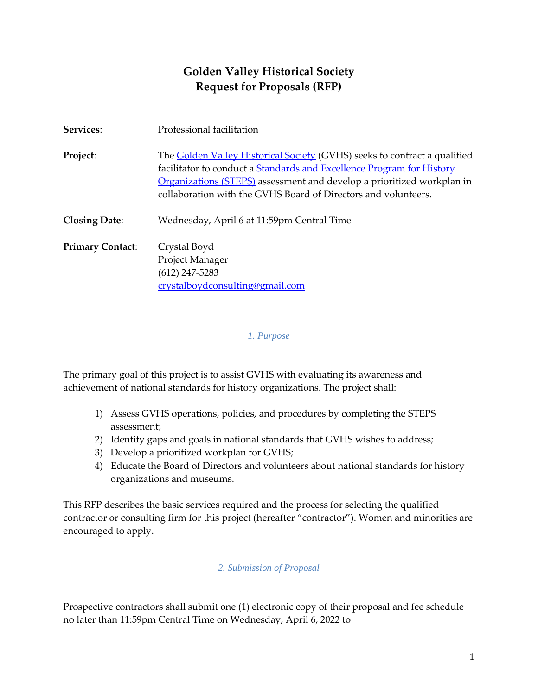# **Golden Valley Historical Society Request for Proposals (RFP)**

| Services:               | Professional facilitation                                                                                                                                                                                                                                                                             |
|-------------------------|-------------------------------------------------------------------------------------------------------------------------------------------------------------------------------------------------------------------------------------------------------------------------------------------------------|
| Project:                | The <b>Golden Valley Historical Society</b> (GVHS) seeks to contract a qualified<br>facilitator to conduct a Standards and Excellence Program for History<br>Organizations (STEPS) assessment and develop a prioritized workplan in<br>collaboration with the GVHS Board of Directors and volunteers. |
| <b>Closing Date:</b>    | Wednesday, April 6 at 11:59pm Central Time                                                                                                                                                                                                                                                            |
| <b>Primary Contact:</b> | Crystal Boyd<br>Project Manager<br>$(612)$ 247-5283<br>crystalboydconsulting@gmail.com                                                                                                                                                                                                                |
|                         | 1. Purpose                                                                                                                                                                                                                                                                                            |

The primary goal of this project is to assist GVHS with evaluating its awareness and achievement of national standards for history organizations. The project shall:

- 1) Assess GVHS operations, policies, and procedures by completing the STEPS assessment;
- 2) Identify gaps and goals in national standards that GVHS wishes to address;
- 3) Develop a prioritized workplan for GVHS;
- 4) Educate the Board of Directors and volunteers about national standards for history organizations and museums.

This RFP describes the basic services required and the process for selecting the qualified contractor or consulting firm for this project (hereafter "contractor"). Women and minorities are encouraged to apply.

*2. Submission of Proposal*

Prospective contractors shall submit one (1) electronic copy of their proposal and fee schedule no later than 11:59pm Central Time on Wednesday, April 6, 2022 to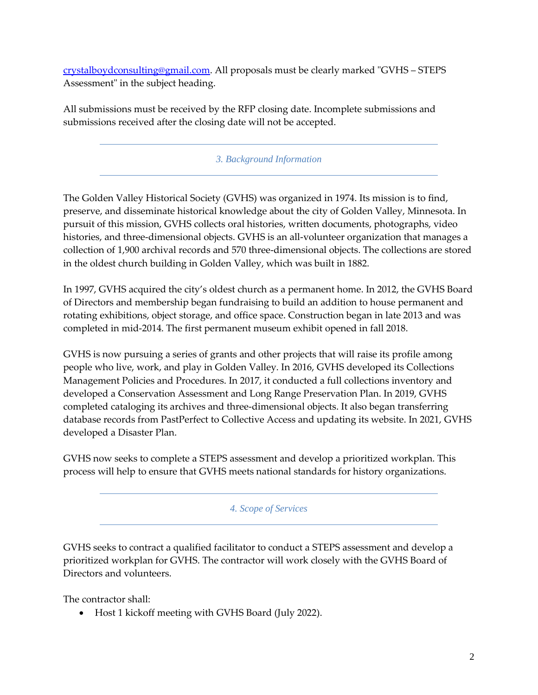[crystalboydconsulting@gmail.com.](mailto:crystalboydconsulting@gmail.com) All proposals must be clearly marked "GVHS – STEPS Assessment" in the subject heading.

All submissions must be received by the RFP closing date. Incomplete submissions and submissions received after the closing date will not be accepted.

## *3. Background Information*

The Golden Valley Historical Society (GVHS) was organized in 1974. Its mission is to find, preserve, and disseminate historical knowledge about the city of Golden Valley, Minnesota. In pursuit of this mission, GVHS collects oral histories, written documents, photographs, video histories, and three-dimensional objects. GVHS is an all-volunteer organization that manages a collection of 1,900 archival records and 570 three-dimensional objects. The collections are stored in the oldest church building in Golden Valley, which was built in 1882.

In 1997, GVHS acquired the city's oldest church as a permanent home. In 2012, the GVHS Board of Directors and membership began fundraising to build an addition to house permanent and rotating exhibitions, object storage, and office space. Construction began in late 2013 and was completed in mid-2014. The first permanent museum exhibit opened in fall 2018.

GVHS is now pursuing a series of grants and other projects that will raise its profile among people who live, work, and play in Golden Valley. In 2016, GVHS developed its Collections Management Policies and Procedures. In 2017, it conducted a full collections inventory and developed a Conservation Assessment and Long Range Preservation Plan. In 2019, GVHS completed cataloging its archives and three-dimensional objects. It also began transferring database records from PastPerfect to Collective Access and updating its website. In 2021, GVHS developed a Disaster Plan.

GVHS now seeks to complete a STEPS assessment and develop a prioritized workplan. This process will help to ensure that GVHS meets national standards for history organizations.

*4. Scope of Services*

GVHS seeks to contract a qualified facilitator to conduct a STEPS assessment and develop a prioritized workplan for GVHS. The contractor will work closely with the GVHS Board of Directors and volunteers.

The contractor shall:

• Host 1 kickoff meeting with GVHS Board (July 2022).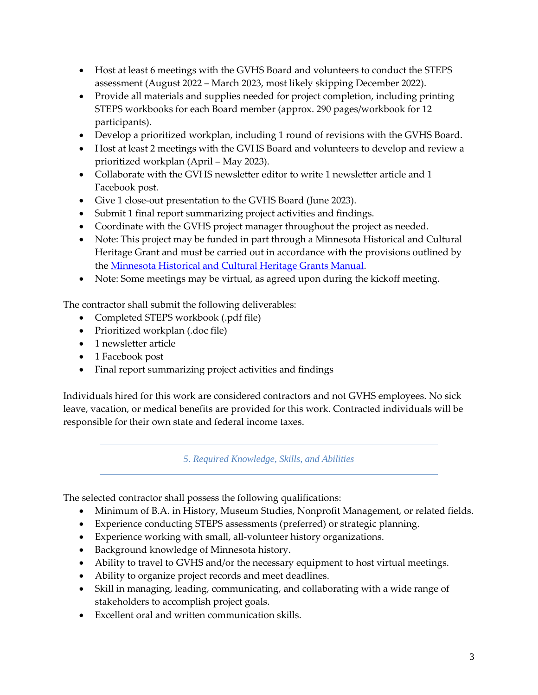- Host at least 6 meetings with the GVHS Board and volunteers to conduct the STEPS assessment (August 2022 – March 2023, most likely skipping December 2022).
- Provide all materials and supplies needed for project completion, including printing STEPS workbooks for each Board member (approx. 290 pages/workbook for 12 participants).
- Develop a prioritized workplan, including 1 round of revisions with the GVHS Board.
- Host at least 2 meetings with the GVHS Board and volunteers to develop and review a prioritized workplan (April – May 2023).
- Collaborate with the GVHS newsletter editor to write 1 newsletter article and 1 Facebook post.
- Give 1 close-out presentation to the GVHS Board (June 2023).
- Submit 1 final report summarizing project activities and findings.
- Coordinate with the GVHS project manager throughout the project as needed.
- Note: This project may be funded in part through a Minnesota Historical and Cultural Heritage Grant and must be carried out in accordance with the provisions outlined by the [Minnesota Historical and Cultural Heritage Grants Manual.](https://www.mnhs.org/preservation/legacy-grants/grants-manual)
- Note: Some meetings may be virtual, as agreed upon during the kickoff meeting.

The contractor shall submit the following deliverables:

- Completed STEPS workbook (.pdf file)
- Prioritized workplan (.doc file)
- 1 newsletter article
- 1 Facebook post
- Final report summarizing project activities and findings

Individuals hired for this work are considered contractors and not GVHS employees. No sick leave, vacation, or medical benefits are provided for this work. Contracted individuals will be responsible for their own state and federal income taxes.

*5. Required Knowledge, Skills, and Abilities*

The selected contractor shall possess the following qualifications:

- Minimum of B.A. in History, Museum Studies, Nonprofit Management, or related fields.
- Experience conducting STEPS assessments (preferred) or strategic planning.
- Experience working with small, all-volunteer history organizations.
- Background knowledge of Minnesota history.
- Ability to travel to GVHS and/or the necessary equipment to host virtual meetings.
- Ability to organize project records and meet deadlines.
- Skill in managing, leading, communicating, and collaborating with a wide range of stakeholders to accomplish project goals.
- Excellent oral and written communication skills.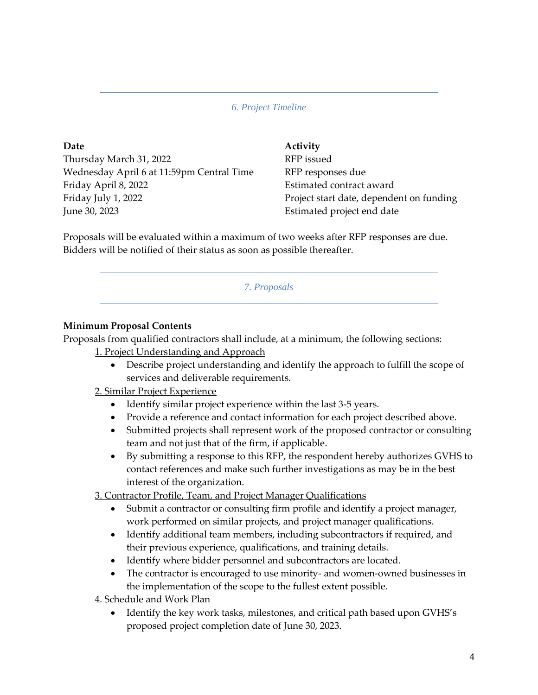*6. Project Timeline*

**Date Activity** Thursday March 31, 2022 RFP issued Wednesday April 6 at 11:59pm Central Time RFP responses due Friday April 8, 2022 **Estimated contract award** Friday July 1, 2022 **Project start date, dependent on funding** June 30, 2023 Estimated project end date

Proposals will be evaluated within a maximum of two weeks after RFP responses are due. Bidders will be notified of their status as soon as possible thereafter.

*7. Proposals*

# **Minimum Proposal Contents**

Proposals from qualified contractors shall include, at a minimum, the following sections:

1. Project Understanding and Approach

• Describe project understanding and identify the approach to fulfill the scope of services and deliverable requirements.

## 2. Similar Project Experience

- Identify similar project experience within the last 3-5 years.
- Provide a reference and contact information for each project described above.
- Submitted projects shall represent work of the proposed contractor or consulting team and not just that of the firm, if applicable.
- By submitting a response to this RFP, the respondent hereby authorizes GVHS to contact references and make such further investigations as may be in the best interest of the organization.

3. Contractor Profile, Team, and Project Manager Qualifications

- Submit a contractor or consulting firm profile and identify a project manager, work performed on similar projects, and project manager qualifications.
- Identify additional team members, including subcontractors if required, and their previous experience, qualifications, and training details.
- Identify where bidder personnel and subcontractors are located.
- The contractor is encouraged to use minority- and women-owned businesses in the implementation of the scope to the fullest extent possible.

4. Schedule and Work Plan

• Identify the key work tasks, milestones, and critical path based upon GVHS's proposed project completion date of June 30, 2023.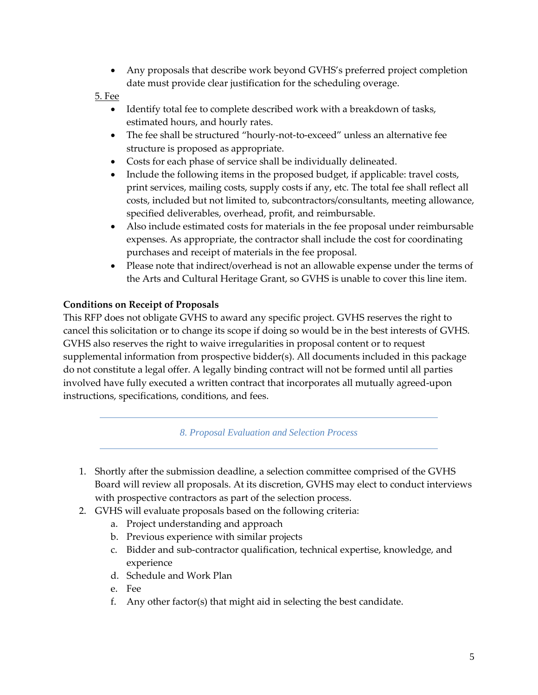• Any proposals that describe work beyond GVHS's preferred project completion date must provide clear justification for the scheduling overage.

5. Fee

- Identify total fee to complete described work with a breakdown of tasks, estimated hours, and hourly rates.
- The fee shall be structured "hourly-not-to-exceed" unless an alternative fee structure is proposed as appropriate.
- Costs for each phase of service shall be individually delineated.
- Include the following items in the proposed budget, if applicable: travel costs, print services, mailing costs, supply costs if any, etc. The total fee shall reflect all costs, included but not limited to, subcontractors/consultants, meeting allowance, specified deliverables, overhead, profit, and reimbursable.
- Also include estimated costs for materials in the fee proposal under reimbursable expenses. As appropriate, the contractor shall include the cost for coordinating purchases and receipt of materials in the fee proposal.
- Please note that indirect/overhead is not an allowable expense under the terms of the Arts and Cultural Heritage Grant, so GVHS is unable to cover this line item.

# **Conditions on Receipt of Proposals**

This RFP does not obligate GVHS to award any specific project. GVHS reserves the right to cancel this solicitation or to change its scope if doing so would be in the best interests of GVHS. GVHS also reserves the right to waive irregularities in proposal content or to request supplemental information from prospective bidder(s). All documents included in this package do not constitute a legal offer. A legally binding contract will not be formed until all parties involved have fully executed a written contract that incorporates all mutually agreed-upon instructions, specifications, conditions, and fees.

*8. Proposal Evaluation and Selection Process*

- 1. Shortly after the submission deadline, a selection committee comprised of the GVHS Board will review all proposals. At its discretion, GVHS may elect to conduct interviews with prospective contractors as part of the selection process.
- 2. GVHS will evaluate proposals based on the following criteria:
	- a. Project understanding and approach
	- b. Previous experience with similar projects
	- c. Bidder and sub-contractor qualification, technical expertise, knowledge, and experience
	- d. Schedule and Work Plan
	- e. Fee
	- f. Any other factor(s) that might aid in selecting the best candidate.